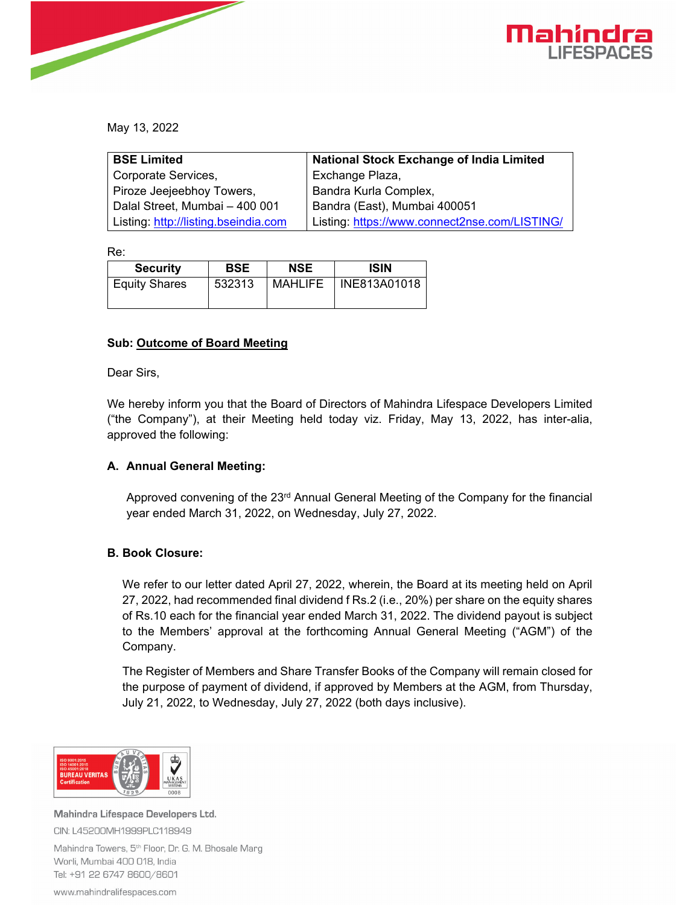

May 13, 2022

| <b>BSE Limited</b>                   | <b>National Stock Exchange of India Limited</b> |  |  |
|--------------------------------------|-------------------------------------------------|--|--|
| Corporate Services,                  | Exchange Plaza,                                 |  |  |
| Piroze Jeejeebhoy Towers,            | Bandra Kurla Complex,                           |  |  |
| Dalal Street, Mumbai - 400 001       | Bandra (East), Mumbai 400051                    |  |  |
| Listing: http://listing.bseindia.com | Listing: https://www.connect2nse.com/LISTING/   |  |  |

Re:

| <b>Security</b>      | <b>BSE</b> | <b>NSE</b>     | <b>ISIN</b>  |
|----------------------|------------|----------------|--------------|
| <b>Equity Shares</b> | 532313     | <b>MAHLIFE</b> | INE813A01018 |

# **Sub: Outcome of Board Meeting**

Dear Sirs,

We hereby inform you that the Board of Directors of Mahindra Lifespace Developers Limited ("the Company"), at their Meeting held today viz. Friday, May 13, 2022, has inter-alia, approved the following:

# **A. Annual General Meeting:**

Approved convening of the  $23<sup>rd</sup>$  Annual General Meeting of the Company for the financial year ended March 31, 2022, on Wednesday, July 27, 2022.

# **B. Book Closure:**

We refer to our letter dated April 27, 2022, wherein, the Board at its meeting held on April 27, 2022, had recommended final dividend f Rs.2 (i.e., 20%) per share on the equity shares of Rs.10 each for the financial year ended March 31, 2022. The dividend payout is subject to the Members' approval at the forthcoming Annual General Meeting ("AGM") of the Company.

The Register of Members and Share Transfer Books of the Company will remain closed for the purpose of payment of dividend, if approved by Members at the AGM, from Thursday, July 21, 2022, to Wednesday, July 27, 2022 (both days inclusive).



Mahindra Lifespace Developers Ltd. CIN: L45200MH1999PLC118949

Mahindra Towers, 5<sup>th</sup> Floor, Dr. G. M. Bhosale Marg Worli, Mumbai 400 018, India Tel: +91 22 6747 8600/8601

www.mahindralifespaces.com